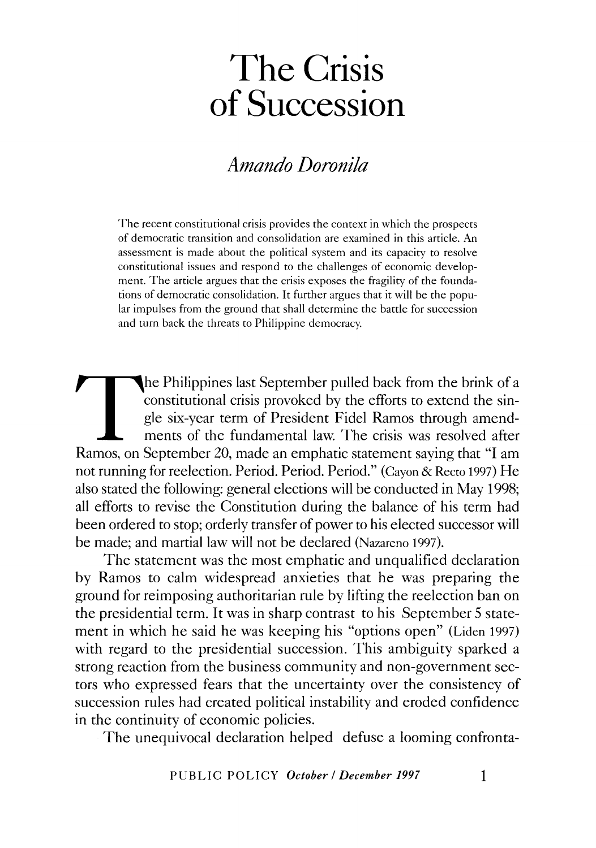# *Amando Doronila*

The recent constitutional crisis provides the context in which the prospects of democratic transition and consolidation are examined in this article. An assessment is made about the political system and its capacity to resolve constitutional issues and respond to the challenges of economic development. The article argues that the crisis exposes the fragility of the foundations of democratic consolidation. It further argues that it will be the popular impulses from the ground that shall determine the battle for succession and turn back the threats to Philippine democracy.

The Philippines last September pulled back from the brink of a constitutional crisis provoked by the efforts to extend the single six-year term of President Fidel Ramos through amendments of the fundamental law. The crisis was resolved after Ramos, on September 20, made an emphatic statement saying that "I am not running for reelection. Period. Period. Period." (Cayon & Recto 1997) He also stated the following: general elections will be conducted in May 1998; all efforts to revise the Constitution during the balance of his term had been ordered to stop; orderly transfer of power to his elected successor will be made; and martial law will not be declared (Nazareno 1997).

The statement was the most emphatic and unqualified declaration by Ramos to calm widespread anxieties that he was preparing the ground for reimposing authoritarian rule by lifting the reelection ban on the presidential term. It was in sharp contrast to his September 5 statement in which he said he was keeping his "options open" (Liden 1997) with regard to the presidential succession. This ambiguity sparked a strong reaction from the business community and non-government sectors who expressed fears that the uncertainty over the consistency of succession rules had created political instability and eroded confidence in the continuity of economic policies.

The unequivocal declaration helped defuse a looming confronta-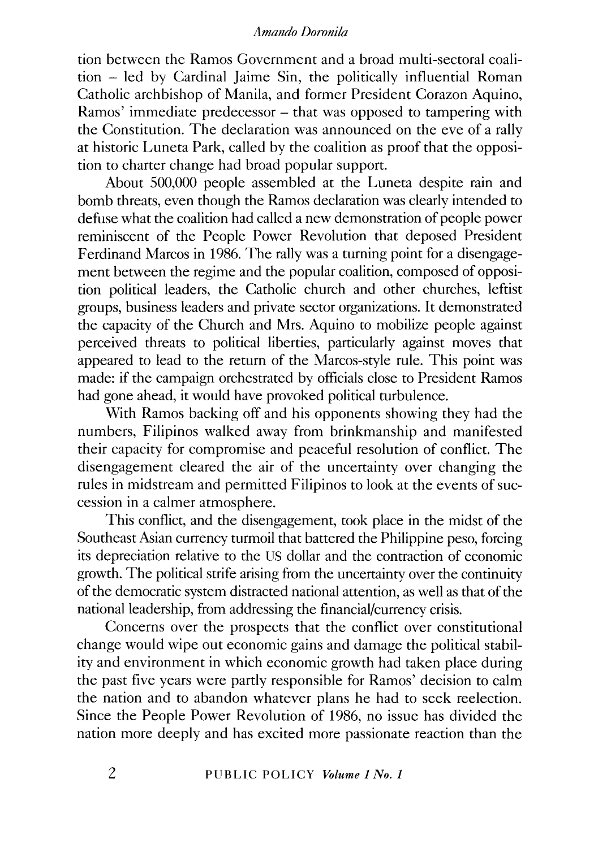tion between the Ramos Government and a broad multi-sectoral coalition - led by Cardinal Jaime Sin, the politically influential Roman Catholic archbishop of Manila, and former President Corazon Aquino, Ramos' immediate predecessor – that was opposed to tampering with the Constitution. The declaration was announced on the eve of a rally at historic Luneta Park, called by the coalition as proof that the opposition to charter change had broad popular support.

About 500,000 people assembled at the Luneta despite rain and bomb threats, even though the Ramos declaration was clearly intended to defuse what the coalition had called a new demonstration of people power reminiscent of the People Power Revolution that deposed President Ferdinand Marcos in 1986. The rally was a turning point for a disengagement between the regime and the popular coalition, composed of opposition political leaders, the Catholic church and other churches, leftist groups, business leaders and private sector organizations. It demonstrated the capacity of the Church and Mrs. Aquino to mobilize people against perceived threats to political liberties, particularly against moves that appeared to lead to the return of the Marcos-style rule. This point was made: if the campaign orchestrated by officials close to President Ramos had gone ahead, it would have provoked political turbulence.

With Ramos backing off and his opponents showing they had the numbers, Filipinos walked away from brinkmanship and manifested their capacity for compromise and peaceful resolution of conflict. The disengagement cleared the air of the uncertainty over changing the rules in midstream and permitted Filipinos to look at the events of succession in a calmer atmosphere.

This conflict, and the disengagement, took place in the midst of the Southeast Asian currency turmoil that battered the Philippine peso, forcing its depreciation relative to the US dollar and the contraction of economic growth. The political strife arising from the uncertainty over the continuity of the democratic system distracted national attention, as well as that of the national leadership, from addressing the financial/currency crisis.

Concerns over the prospects that the conflict over constitutional change would wipe out economic gains and damage the political stability and environment in which economic growth had taken place during the past five years were partly responsible for Ramos' decision to calm the nation and to abandon whatever plans he had to seek reelection. Since the People Power Revolution of 1986, no issue has divided the nation more deeply and has excited more passionate reaction than the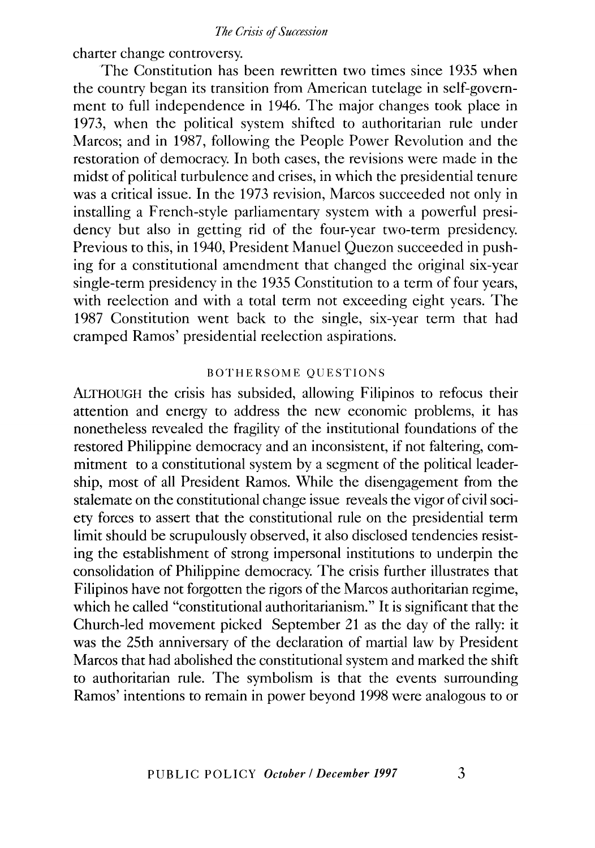charter change controversy.

The Constitution has been rewritten two times since 1935 when the country began its transition from American tutelage in self-government to full independence in 1946. The major changes took place in 1973, when the political system shifted to authoritarian rule under Marcos; and in 1987, following the People Power Revolution and the restoration of democracy. In both cases, the revisions were made in the midst of political turbulence and crises, in which the presidential tenure was a critical issue. In the 1973 revision, Marcos succeeded not only in installing a French-style parliamentary system with a powerful presidency but also in getting rid of the four-year two-term presidency. Previous to this, in 1940, President Manuel Quezon succeeded in pushing for a constitutional amendment that changed the original six-year single-term presidency in the 1935 Constitution to a term of four years, with reelection and with a total term not exceeding eight years. The 1987 Constitution went back to the single, six-year term that had cramped Ramos' presidential reelection aspirations.

# BOTHERSOME QUESTIONS

ALTHOUGH the crisis has subsided, allowing Filipinos to refocus their attention and energy to address the new economic problems, it has nonetheless revealed the fragility of the institutional foundations of the restored Philippine democracy and an inconsistent, if not faltering, commitment to a constitutional system by a segment of the political leadership, most of all President Ramos. While the disengagement from the stalemate on the constitutional change issue reveals the vigor of civil society forces to assert that the constitutional rule on the presidential term limit should be scrupulously observed, it also disclosed tendencies resisting the establishment of strong impersonal institutions to underpin the consolidation of Philippine democracy. The crisis further illustrates that Filipinos have not forgotten the rigors of the Marcos authoritarian regime, which he called "constitutional authoritarianism." It is significant that the Church-led movement picked September 21 as the day of the rally: it was the 25th anniversary of the declaration of martial law by President Marcos that had abolished the constitutional system and marked the shift to authoritarian rule. The symbolism is that the events surrounding Ramos' intentions to remain in power beyond 1998 were analogous to or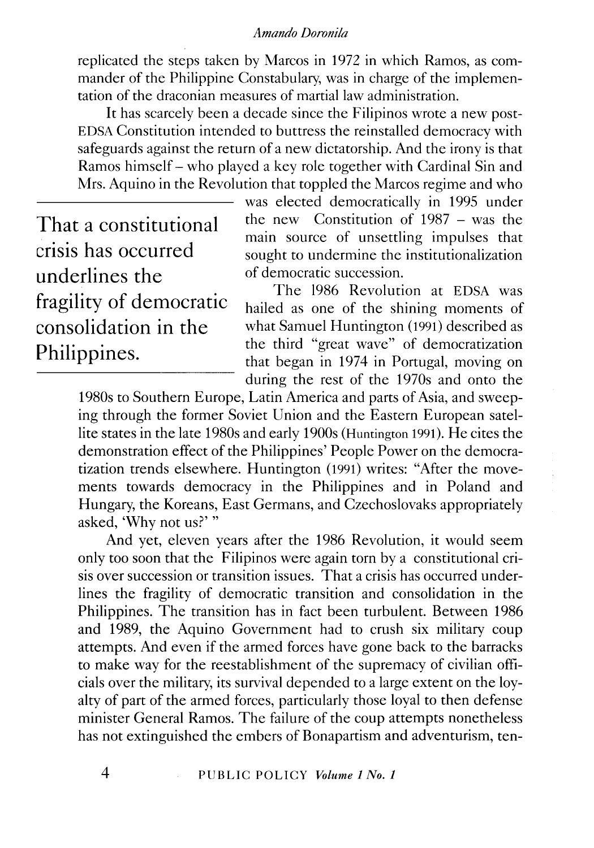replicated the steps taken by Marcos in 1972 in which Ramos, as commander of the Philippine Constabulary, was in charge of the implementation of the draconian measures of martial law administration.

It has scarcely been a decade since the Filipinos wrote a new post-EDSA Constitution intended to buttress the reinstalled democracy with safeguards against the return of a new dictatorship. And the irony is that Ramos himself- who played a key role together with Cardinal Sin and Mrs. Aquino in the Revolution that toppled the Marcos regime and who

That a constitutional crisis has occurred underlines the fragility of democratic consolidation in the Philippines.

was elected democratically in 1995 under the new Constitution of 1987 - was the main source of unsettling impulses that sought to undermine the institutionalization of democratic succession.

The 1986 Revolution at EDSA was hailed as one of the shining moments of what Samuel Huntington (1991) described as the third "great wave" of democratization that began in 1974 in Portugal, moving on during the rest of the 1970s and onto the

1980s to Southern Europe, Latin America and parts of Asia, and sweeping through the former Soviet Union and the Eastern European satellite states in the late 1980s and early 1900s (Huntington 1991 ). He cites the demonstration effect of the Philippines' People Power on the democratization trends elsewhere. Huntington (1991) writes: "After the movements towards democracy in the Philippines and in Poland and Hungary, the Koreans, East Germans, and Czechoslovaks appropriately asked, 'Why not us?' "

And yet, eleven years after the 1986 Revolution, it would seem only too soon that the Filipinos were again torn by a constitutional crisis over succession or transition issues. That a crisis has occurred underlines the fragility of democratic transition and consolidation in the Philippines. The transition has in fact been turbulent. Between 1986 and 1989, the Aquino Government had to crush six military coup attempts. And even if the armed forces have gone back to the barracks to make way for the reestablishment of the supremacy of civilian officials over the military, its survival depended to a large extent on the loyalty of part of the armed forces, particularly those loyal to then defense minister General Ramos. The failure of the coup attempts nonetheless has not extinguished the embers of Bonapartism and adventurism, ten-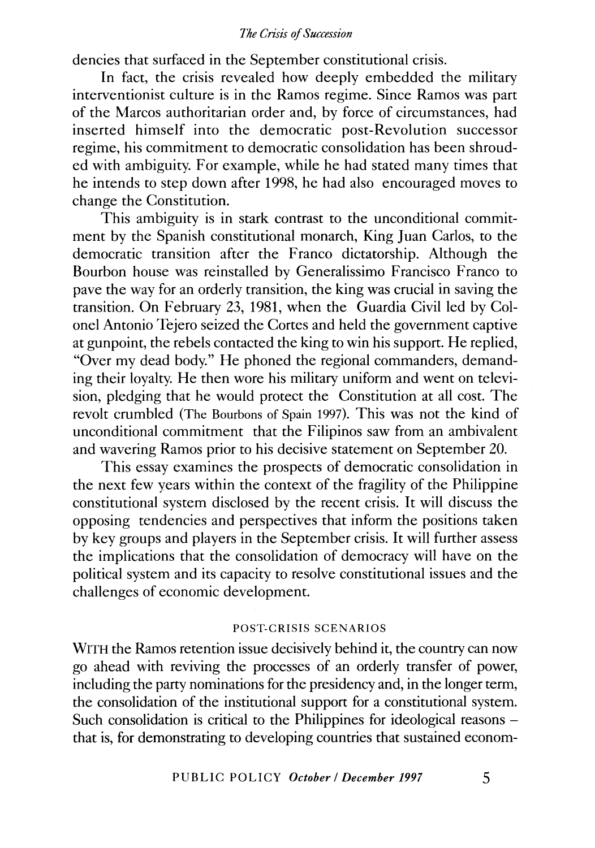dencies that surfaced in the September constitutional crisis.

In fact, the crisis revealed how deeply embedded the military interventionist culture is in the Ramos regime. Since Ramos was part of the Marcos authoritarian order and, by force of circumstances, had inserted himself into the democratic post-Revolution successor regime, his commitment to democratic consolidation has been shrouded with ambiguity. For example, while he had stated many times that he intends to step down after 1998, he had also encouraged moves to change the Constitution.

This ambiguity is in stark contrast to the unconditional commitment by the Spanish constitutional monarch, King Juan Carlos, to the democratic transition after the Franco dictatorship. Although the Bourbon house was reinstalled by Generalissimo Francisco Franco to pave the way for an orderly transition, the king was crucial in saving the transition. On February 23, 1981, when the Guardia Civil led by Colonel Antonio Tejero seized the Cortes and held the government captive at gunpoint, the rebels contacted the king to win his support. He replied, "Over my dead body." He phoned the regional commanders, demanding their loyalty. He then wore his military uniform and went on television, pledging that he would protect the Constitution at all cost. The revolt crumbled (The Bourbons of Spain 1997). This was not the kind of unconditional commitment that the Filipinos saw from an ambivalent and wavering Ramos prior to his decisive statement on September 20.

This essay examines the prospects of democratic consolidation in the next few years within the context of the fragility of the Philippine constitutional system disclosed by the recent crisis. It will discuss the opposing tendencies and perspectives that inform the positions taken by key groups and players in the September crisis. It will further assess the implications that the consolidation of democracy will have on the political system and its capacity to resolve constitutional issues and the challenges of economic development.

# POST-CRISIS SCENARIOS

WITH the Ramos retention issue decisively behind it, the country can now go ahead with reviving the processes of an orderly transfer of power, including the party nominations for the presidency and, in the longer term, the consolidation of the institutional support for a constitutional system. Such consolidation is critical to the Philippines for ideological reasons – that is, for demonstrating to developing countries that sustained econom-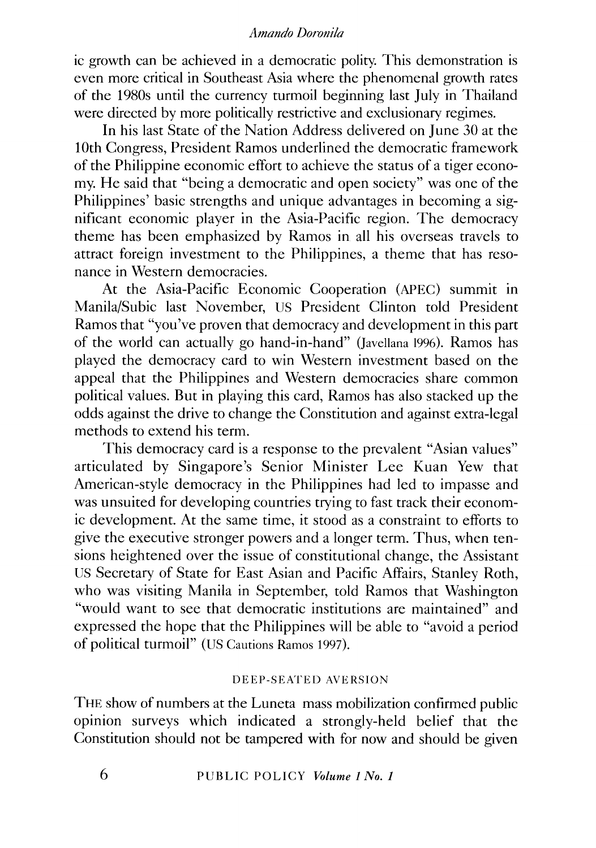ic growth can be achieved in a democratic polity. This demonstration is even more critical in Southeast Asia where the phenomenal growth rates of the 1980s until the currency turmoil beginning last July in Thailand were directed by more politically restrictive and exclusionary regimes.

In his last State of the Nation Address delivered on June 30 at the 1Oth Congress, President Ramos underlined the democratic framework of the Philippine economic effort to achieve the status of a tiger economy. He said that "being a democratic and open society" was one of the Philippines' basic strengths and unique advantages in becoming a significant economic player in the Asia-Pacific region. The democracy theme has been emphasized by Ramos in all his overseas travels to attract foreign investment to the Philippines, a theme that has resonance in Western democracies.

At the Asia-Pacific Economic Cooperation (APEC) summit in Manila/Subic last November, US President Clinton told President Ramos that "you've proven that democracy and development in this part of the world can actually go hand-in-hand" (Javellana 1996). Ramos has played the democracy card to win Western investment based on the appeal that the Philippines and Western democracies share common political values. But in playing this card, Ramos has also stacked up the odds against the drive to change the Constitution and against extra-legal methods to extend his term.

This democracy card is a response to the prevalent "Asian values" articulated by Singapore's Senior Minister Lee Kuan Yew that American-style democracy in the Philippines had led to impasse and was unsuited for developing countries trying to fast track their economic development. At the same time, it stood as a constraint to efforts to give the executive stronger powers and a longer term. Thus, when tensions heightened over the issue of constitutional change, the Assistant US Secretary of State for East Asian and Pacific Affairs, Stanley Roth, who was visiting Manila in September, told Ramos that Washington "would want to see that democratic institutions are maintained" and expressed the hope that the Philippines will be able to "avoid a period of political turmoil" (US Cautions Ramos 1997).

# DEEP-SEATED AVERSION

THE show of numbers at the Luneta mass mobilization confirmed public opinion surveys which indicated a strongly-held belief that the Constitution should not be tampered with for now and should be given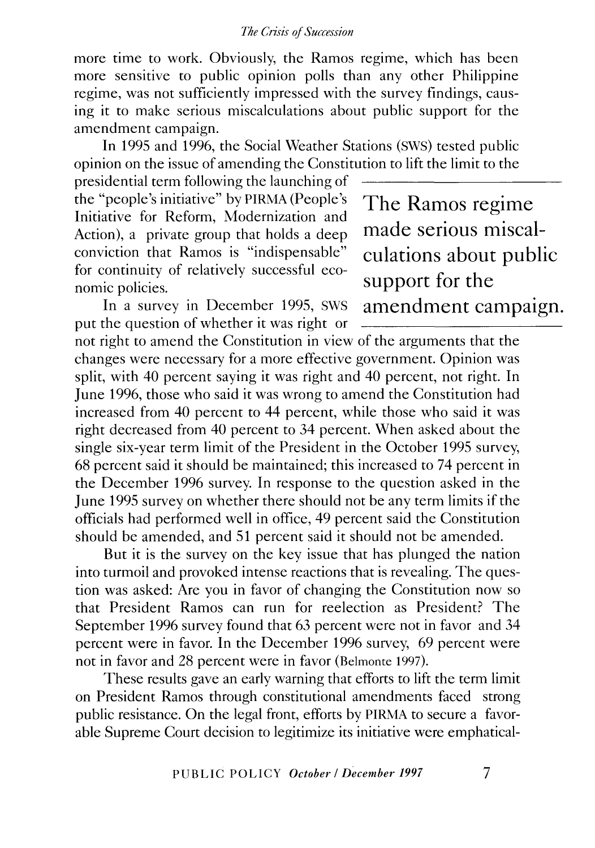more time to work. Obviously, the Ramos regime, which has been more sensitive to public opinion polls than any other Philippine regime, was not sufficiently impressed with the survey findings, causing it to make serious miscalculations about public support for the amendment campaign.

In 1995 and 1996, the Social Weather Stations (SWS) tested public opinion on the issue of amending the Constitution to lift the limit to the

presidential term following the launching of the "people's initiative" by PIRMA (People's Initiative for Reform, Modernization and Action), a private group that holds a deep conviction that Ramos is "indispensable" for continuity of relatively successful economic policies.

In a survey in December 1995, SWS put the question of whether it was right or The Ramos regime made serious miscalculations about public support for the amendment campaign.

not right to amend the Constitution in view of the arguments that the changes were necessary for a more effective government. Opinion was split, with 40 percent saying it was right and 40 percent, not right. In June 1996, those who said it was wrong to amend the Constitution had increased from 40 percent to 44 percent, while those who said it was right decreased from 40 percent to 34 percent. When asked about the single six-year term limit of the President in the October 1995 survey, 68 percent said it should be maintained; this increased to 74 percent in the December 1996 survey. In response to the question asked in the June 1995 survey on whether there should not be any term limits if the officials had performed well in office, 49 percent said the Constitution should be amended, and 51 percent said it should not be amended.

But it is the survey on the key issue that has plunged the nation into turmoil and provoked intense reactions that is revealing. The question was asked: Are you in favor of changing the Constitution now so that President Ramos can run for reelection as President? The September 1996 survey found that 63 percent were not in favor and 34 percent were in favor. In the December 1996 survey, 69 percent were not in favor and 28 percent were in favor (Belmonte 1997).

These results gave an early warning that efforts to lift the term limit on President Ramos through constitutional amendments faced strong public resistance. On the legal front, efforts by PIRMA to secure a favorable Supreme Court decision to legitimize its initiative were emphatical-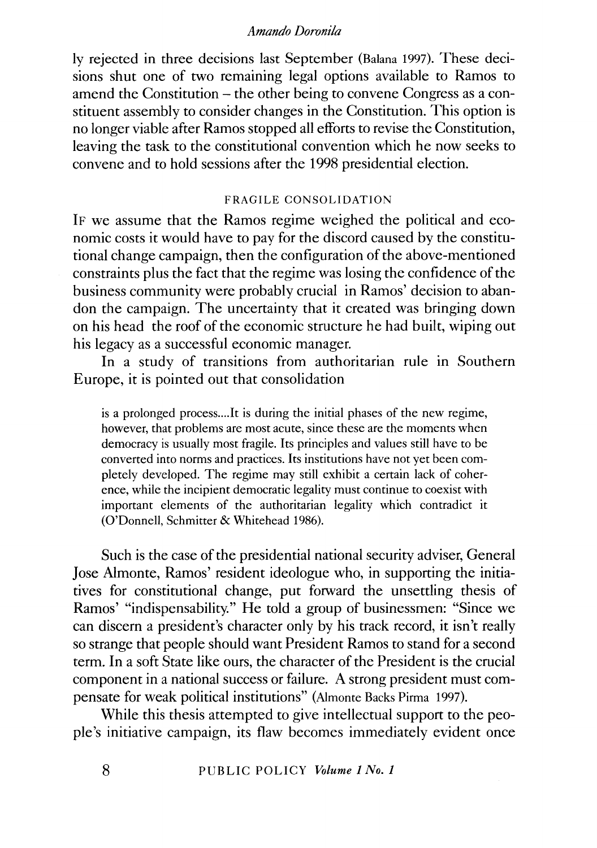ly rejected in three decisions last September (Balana 1997). These decisions shut one of two remaining legal options available to Ramos to amend the Constitution – the other being to convene Congress as a constituent assembly to consider changes in the Constitution. This option is no longer viable after Ramos stopped all efforts to revise the Constitution, leaving the task to the constitutional convention which he now seeks to convene and to hold sessions after the 1998 presidential election.

# FRAGILE CONSOLIDATION

IF we assume that the Ramos regime weighed the political and economic costs it would have to pay for the discord caused by the constitutional change campaign, then the configuration of the above-mentioned constraints plus the fact that the regime was losing the confidence of the business community were probably crucial in Ramos' decision to abandon the campaign. The uncertainty that it created was bringing down on his head the roof of the economic structure he had built, wiping out his legacy as a successful economic manager.

In a study of transitions from authoritarian rule in Southern Europe, it is pointed out that consolidation

is a prolonged process....It is during the initial phases of the new regime, however, that problems are most acute, since these are the moments when democracy is usually most fragile. Its principles and values still have to be converted into norms and practices. Its institutions have not yet been completely developed. The regime may still exhibit a certain lack of coherence, while the incipient democratic legality must continue to coexist with important elements of the authoritarian legality which contradict it (O'Donnell, Schmitter & Whitehead 1986).

Such is the case of the presidential national security adviser, General Jose Almonte, Ramos' resident ideologue who, in supporting the initiatives for constitutional change, put forward the unsettling thesis of Ramos' "indispensability." He told a group of businessmen: "Since we can discern a president's character only by his track record, it isn't really so strange that people should want President Ramos to stand for a second term. In a soft State like ours, the character of the President is the crucial component in a national success or failure. A strong president must compensate for weak political institutions" (Almonte Backs Pirma 1997).

While this thesis attempted to give intellectual support to the people's initiative campaign, its flaw becomes immediately evident once

8 PUBLIC POLICY *Volume 1 No. 1*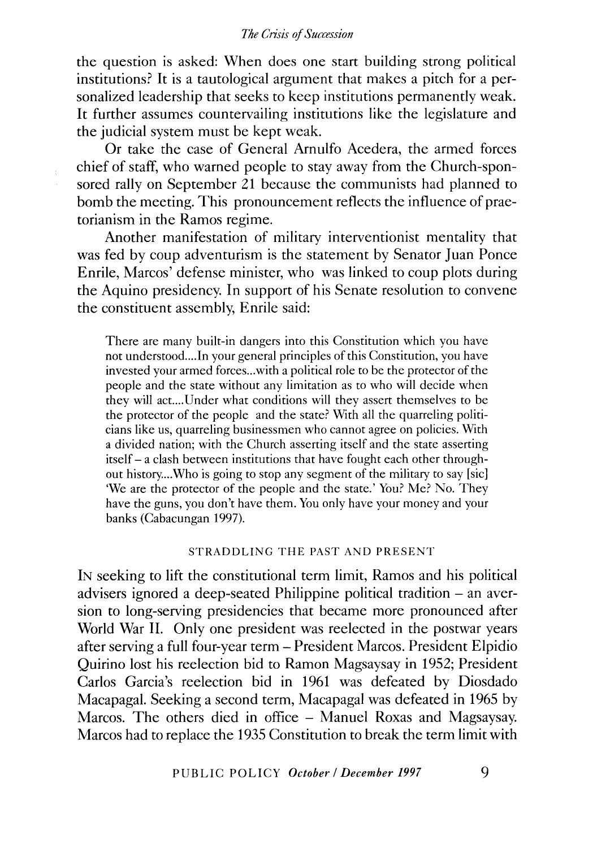the question is asked: When does one start building strong political institutions? It is a tautological argument that makes a pitch for a personalized leadership that seeks to keep institutions permanently weak. It further assumes countervailing institutions like the legislature and the judicial system must be kept weak.

Or take the case of General Arnulfo Acedera, the armed forces chief of staff, who warned people to stay away from the Church-sponsored rally on September 21 because the communists had planned to bomb the meeting. This pronouncement reflects the influence of praetorianism in the Ramos regime.

Another manifestation of military interventionist mentality that was fed by coup adventurism is the statement by Senator Juan Ponce Enrile, Marcos' defense minister, who was linked to coup plots during the Aquino presidency. In support of his Senate resolution to convene the constituent assembly, Enrile said:

There are many built-in dangers into this Constitution which you have not understood....In your general principles of this Constitution, you have invested your armed forces ... with a political role to be the protector of the people and the state without any limitation as to who will decide when they will act.... Under what conditions will they assert themselves to be the protector of the people and the state? With all the quarreling politicians like us, quarreling businessmen who cannot agree on policies. With a divided nation; with the Church asserting itself and the state asserting itself- a clash between institutions that have fought each other throughout history....Who is going to stop any segment of the military to say [sic] 'We are the protector of the people and the state.' You? Me? No. They have the guns, you don't have them. You only have your money and your banks (Cabacungan 1997).

#### STRADDLING THE PAST AND PRESENT

IN seeking to lift the constitutional term limit, Ramos and his political advisers ignored a deep-seated Philippine political tradition – an aversion to long-serving presidencies that became more pronounced after World War II. Only one president was reelected in the postwar years after serving a full four-year term- President Marcos. President Elpidio Quirino lost his reelection bid to Ramon Magsaysay in 1952; President Carlos Garcia's reelection bid in 1961 was defeated by Diosdado Macapagal. Seeking a second term, Macapagal was defeated in 1965 by Marcos. The others died in office - Manuel Roxas and Magsaysay. Marcos had to replace the 1935 Constitution to break the term limit with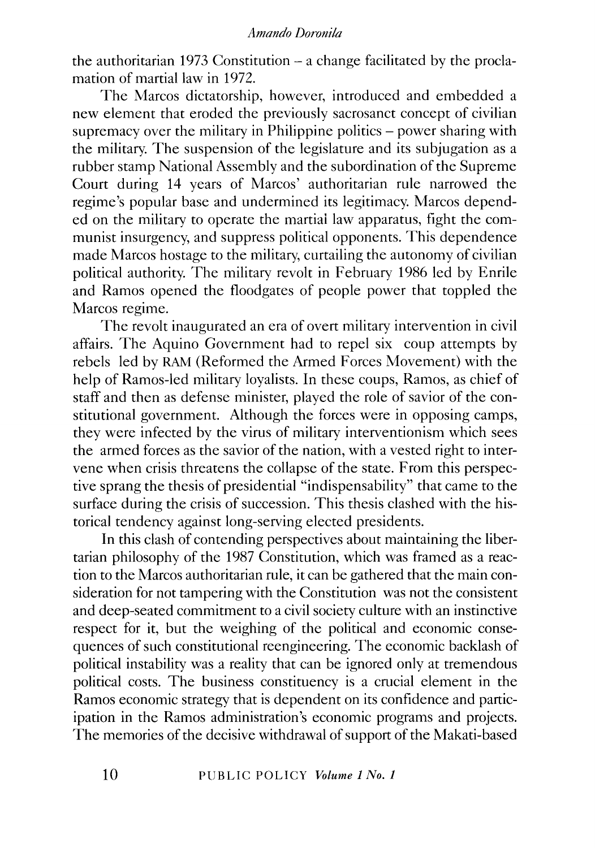the authoritarian 1973 Constitution  $-$  a change facilitated by the proclamation of martial law in 1972.

The Marcos dictatorship, however, introduced and embedded a new element that eroded the previously sacrosanct concept of civilian supremacy over the military in Philippine politics  $-$  power sharing with the military. The suspension of the legislature and its subjugation as a rubber stamp National Assembly and the subordination of the Supreme Court during 14 years of Marcos' authoritarian rule narrowed the regime's popular base and undermined its legitimacy. Marcos depended on the military to operate the martiai law apparatus, fight the communist insurgency, and suppress political opponents. This dependence made Marcos hostage to the military, curtailing the autonomy of civilian political authority. The military revolt in February 1986 led by Emile and Ramos opened the floodgates of people power that toppled the Marcos regime.

The revolt inaugurated an era of overt military intervention in civil affairs. The Aquino Government had to repel six coup attempts by rebels led by RAM (Reformed the Armed Forces Movement) with the help of Ramos-led military loyalists. In these coups, Ramos, as chief of staff and then as defense minister, played the role of savior of the constitutional government. Although the forces were in opposing camps, they were infected by the virus of military interventionism which sees the armed forces as the savior of the nation, with a vested right to intervene when crisis threatens the collapse of the state. From this perspective sprang the thesis of presidential "indispensability" that came to the surface during the crisis of succession. This thesis clashed with the historical tendency against long-serving elected presidents.

In this clash of contending perspectives about maintaining the libertarian philosophy of the 1987 Constitution, which was framed as a reaction to the Marcos authoritarian rule, it can be gathered that the main consideration for not tampering with the Constitution was not the consistent and deep-seated commitment to a civil society culture with an instinctive respect for it, but the weighing of the political and economic consequences of such constitutional reengineering. The economic backlash of political instability was a reality that can be ignored only at tremendous political costs. The business constituency is a crucial element in the Ramos economic strategy that is dependent on its confidence and participation in the Ramos administration's economic programs and projects. The memories of the decisive withdrawal of support of the Makati-based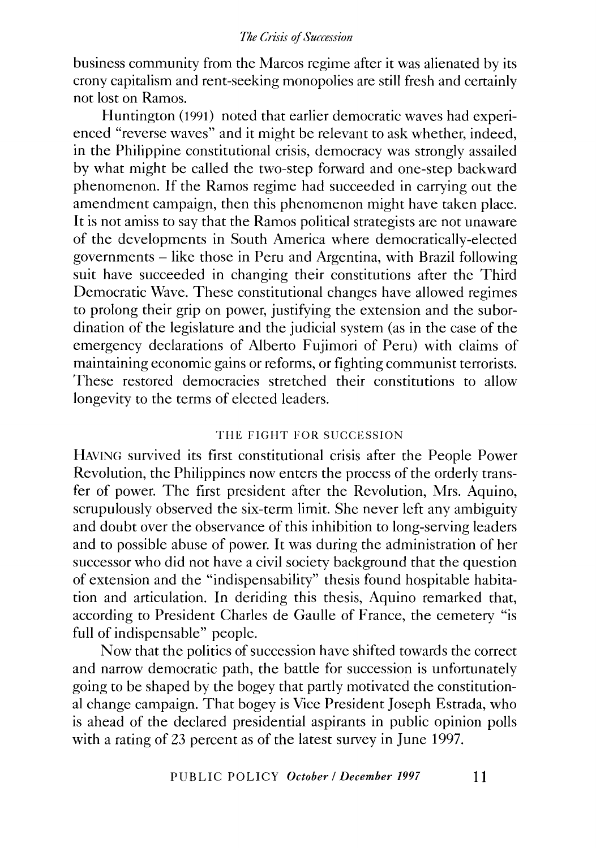business community from the Marcos regime after it was alienated by its crony capitalism and rent-seeking monopolies are still fresh and certainly not lost on Ramos.

Huntington (1991) noted that earlier democratic waves had experienced "reverse waves" and it might be relevant to ask whether, indeed, in the Philippine constitutional crisis, democracy was strongly assailed by what might be called the two-step forward and one-step backward phenomenon. If the Ramos regime had succeeded in carrying out the amendment campaign, then this phenomenon might have taken place. It is not amiss to say that the Ramos political strategists are not unaware of the developments in South America where democratically-elected governments- like those in Peru and Argentina, with Brazil following suit have succeeded in changing their constitutions after the Third Democratic Wave. These constitutional changes have allowed regimes to prolong their grip on power, justifying the extension and the subordination of the legislature and the judicial system (as in the case of the emergency declarations of Alberto Fujimori of Peru) with claims of maintaining economic gains or reforms, or fighting communist terrorists. These restored democracies stretched their constitutions to allow longevity to the terms of elected leaders.

# THE FIGHT FOR SUCCESSION

HAVING survived its first constitutional crisis after the People Power Revolution, the Philippines now enters the process of the orderly transfer of power. The first president after the Revolution, Mrs. Aquino, scrupulously observed the six-term limit. She never left any ambiguity and doubt over the observance of this inhibition to long-serving leaders and to possible abuse of power. It was during the administration of her successor who did not have a civil society background that the question of extension and the "indispensability" thesis found hospitable habitation and articulation. In deriding this thesis, Aquino remarked that, according to President Charles de Gaulle of France, the cemetery "is full of indispensable" people.

Now that the politics of succession have shifted towards the correct and narrow democratic path, the battle for succession is unfortunately going to be shaped by the bogey that partly motivated the constitutional change campaign. That bogey is Vice President Joseph Estrada, who is ahead of the declared presidential aspirants in public opinion polls with a rating of 23 percent as of the latest survey in June 1997.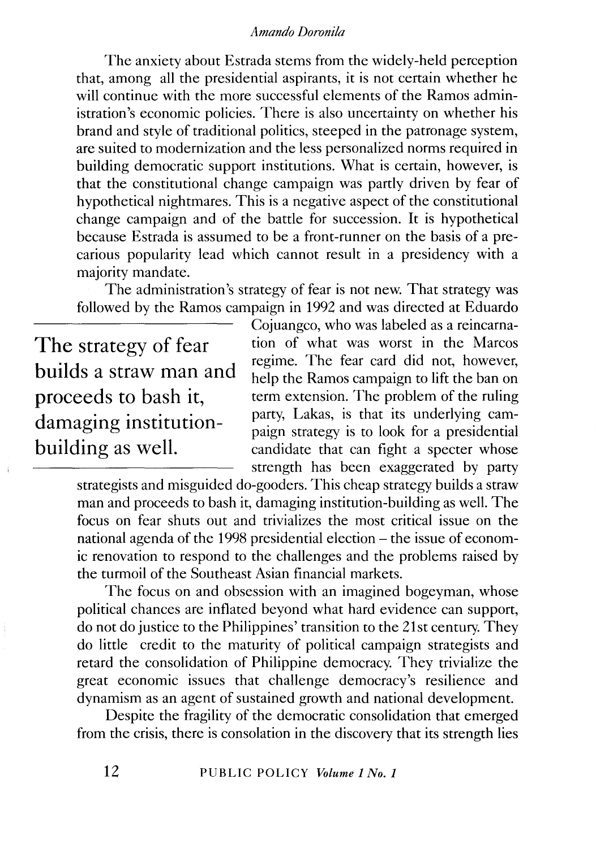The anxiety about Estrada stems from the widely-held perception that, among all the presidential aspirants, it is not certain whether he will continue with the more successful elements of the Ramos administration's economic policies. There is also uncertainty on whether his brand and style of traditional politics, steeped in the patronage system, are suited to modernization and the less personalized norms required in building democratic support institutions. What is certain, however, is that the constitutional change campaign was partly driven by fear of hypothetical nightmares. This is a negative aspect of the constitutional change campaign and of the battle for succession. It is hypothetical because Estrada is assumed to be a front-runner on the basis of a precarious popularity lead which cannot result in a presidency with a majority mandate.

The administration's strategy of fear is not new. That strategy was followed by the Ramos campaign in 1992 and was directed at Eduardo

The strategy of fear builds a straw man and proceeds to bash it, damaging institutionbuilding as well.

Cojuangco, who was labeled as a reincarnation of what was worst in the Marcos regime. The fear card did not, however, help the Ramos campaign to lift the ban on term extension. The problem of the ruling party, Lakas, is that its underlying campaign strategy is to look for a presidential candidate that can fight a specter whose strength has been exaggerated by party

strategists and misguided do-gooders. This cheap strategy builds a straw man and proceeds to bash it, damaging institution-building as well. The focus on fear shuts out and trivializes the most critical issue on the national agenda of the 1998 presidential election – the issue of economic renovation to respond to the challenges and the problems raised by the turmoil of the Southeast Asian financial markets.

The focus on and obsession with an imagined bogeyman, whose political chances are inflated beyond what hard evidence can support, do not do justice to the Philippines' transition to the 21st century. They do little credit to the maturity of political campaign strategists and retard the consolidation of Philippine democracy. They trivialize the great economic issues that challenge democracy's resilience and dynamism as an agent of sustained growth and national development.

Despite the fragility of the democratic consolidation that emerged from the crisis, there is consolation in the discovery that its strength lies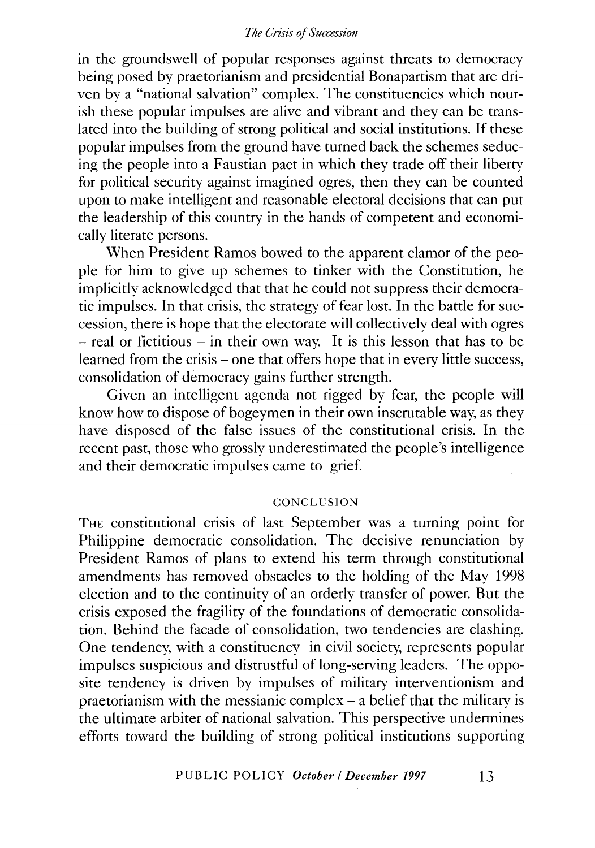in the groundswell of popular responses against threats to democracy being posed by praetorianism and presidential Bonapartism that are driven by a "national salvation" complex. The constituencies which nourish these popular impulses are alive and vibrant and they can be translated into the building of strong political and social institutions. If these popular impulses from the ground have turned back the schemes seducing the people into a Faustian pact in which they trade off their liberty for political security against imagined ogres, then they can be counted upon to make intelligent and reasonable electoral decisions that can put the leadership of this country in the hands of competent and economically literate persons.

When President Ramos bowed to the apparent clamor of the people for him to give up schemes to tinker with the Constitution, he implicitly acknowledged that that he could not suppress their democratic impulses. In that crisis, the strategy of fear lost. In the battle for succession, there is hope that the electorate will collectively deal with ogres  $-$  real or fictitious  $-$  in their own way. It is this lesson that has to be learned from the crisis – one that offers hope that in every little success, consolidation of democracy gains further strength.

Given an intelligent agenda not rigged by fear, the people will know how to dispose of bogeymen in their own inscrutable way, as they have disposed of the false issues of the constitutional crisis. In the recent past, those who grossly underestimated the people's intelligence and their democratic impulses came to grief.

#### **CONCLUSION**

THE constitutional crisis of last September was a turning point for Philippine democratic consolidation. The decisive renunciation by President Ramos of plans to extend his term through constitutional amendments has removed obstacles to the holding of the May 1998 election and to the continuity of an orderly transfer of power. But the crisis exposed the fragility of the foundations of democratic consolidation. Behind the facade of consolidation, two tendencies are clashing. One tendency, with a constituency in civil society, represents popular impulses suspicious and distrustful of long-serving leaders. The opposite tendency is driven by impulses of military interventionism and praetorianism with the messianic complex- a belief that the military is the ultimate arbiter of national salvation. This perspective undermines efforts toward the building of strong political institutions supporting